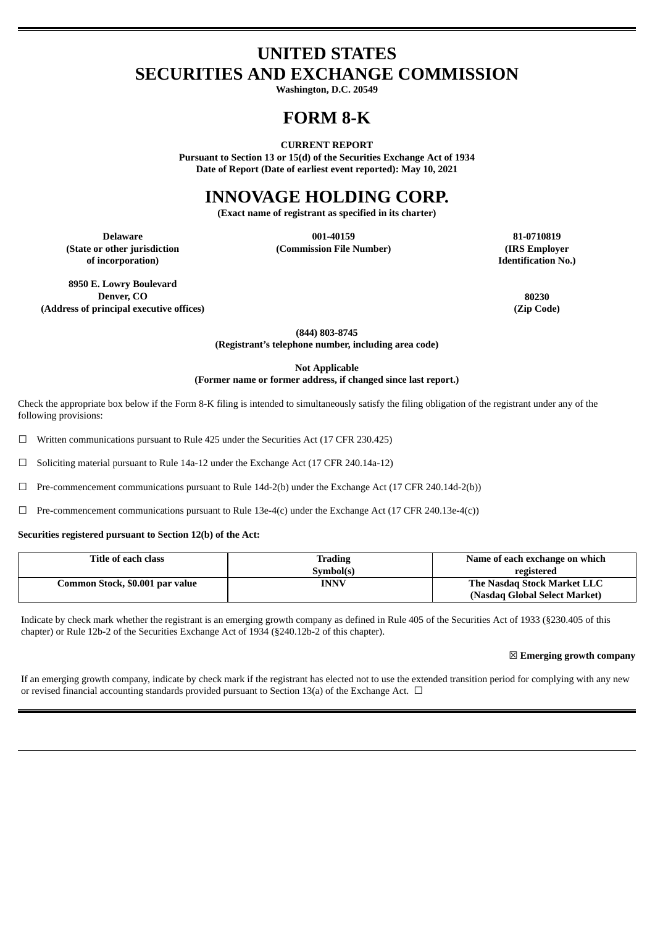# **UNITED STATES SECURITIES AND EXCHANGE COMMISSION**

**Washington, D.C. 20549**

# **FORM 8-K**

**CURRENT REPORT**

**Pursuant to Section 13 or 15(d) of the Securities Exchange Act of 1934 Date of Report (Date of earliest event reported): May 10, 2021**

# **INNOVAGE HOLDING CORP.**

**(Exact name of registrant as specified in its charter)**

**(State or other jurisdiction of incorporation)**

**Delaware 001-40159 81-0710819 (Commission File Number) (IRS Employer**

**Identification No.)**

**8950 E. Lowry Boulevard Denver, CO 80230 (Address of principal executive offices) (Zip Code)**

**(844) 803-8745 (Registrant's telephone number, including area code)**

**Not Applicable**

**(Former name or former address, if changed since last report.)**

Check the appropriate box below if the Form 8-K filing is intended to simultaneously satisfy the filing obligation of the registrant under any of the following provisions:

 $\Box$  Written communications pursuant to Rule 425 under the Securities Act (17 CFR 230.425)

☐ Soliciting material pursuant to Rule 14a-12 under the Exchange Act (17 CFR 240.14a-12)

☐ Pre-commencement communications pursuant to Rule 14d-2(b) under the Exchange Act (17 CFR 240.14d-2(b))

☐ Pre-commencement communications pursuant to Rule 13e-4(c) under the Exchange Act (17 CFR 240.13e-4(c))

#### **Securities registered pursuant to Section 12(b) of the Act:**

| Title of each class             | Trading   | Name of each exchange on which |
|---------------------------------|-----------|--------------------------------|
|                                 | Symbol(s) | registered                     |
| Common Stock, \$0.001 par value | INNV      | The Nasdag Stock Market LLC    |
|                                 |           | (Nasdag Global Select Market)  |

Indicate by check mark whether the registrant is an emerging growth company as defined in Rule 405 of the Securities Act of 1933 (§230.405 of this chapter) or Rule 12b-2 of the Securities Exchange Act of 1934 (§240.12b-2 of this chapter).

☒ **Emerging growth company**

If an emerging growth company, indicate by check mark if the registrant has elected not to use the extended transition period for complying with any new or revised financial accounting standards provided pursuant to Section 13(a) of the Exchange Act.  $\Box$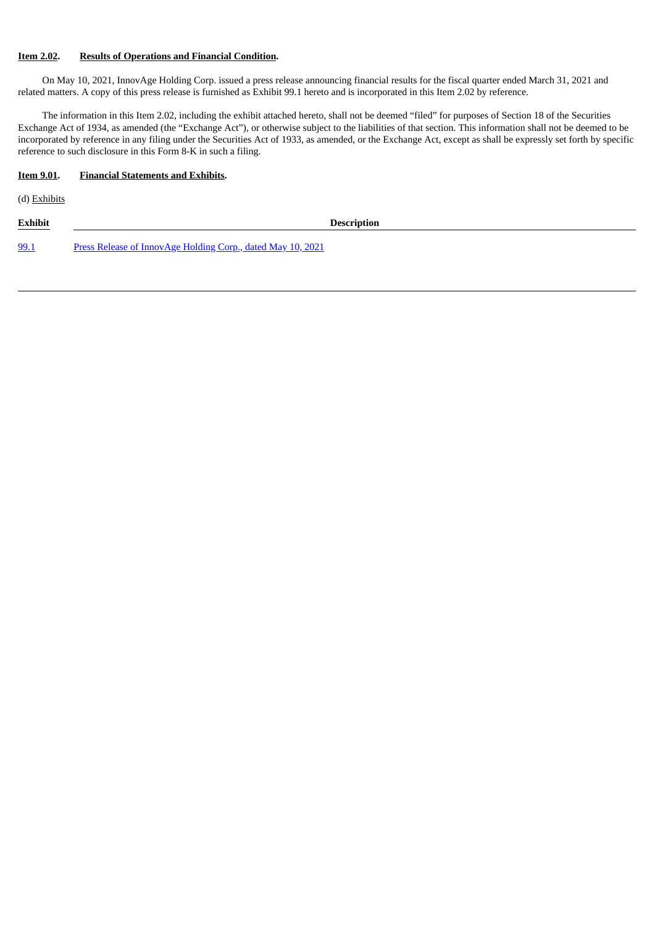# **Item 2.02. Results of Operations and Financial Condition.**

On May 10, 2021, InnovAge Holding Corp. issued a press release announcing financial results for the fiscal quarter ended March 31, 2021 and related matters. A copy of this press release is furnished as Exhibit 99.1 hereto and is incorporated in this Item 2.02 by reference.

The information in this Item 2.02, including the exhibit attached hereto, shall not be deemed "filed" for purposes of Section 18 of the Securities Exchange Act of 1934, as amended (the "Exchange Act"), or otherwise subject to the liabilities of that section. This information shall not be deemed to be incorporated by reference in any filing under the Securities Act of 1933, as amended, or the Exchange Act, except as shall be expressly set forth by specific reference to such disclosure in this Form 8-K in such a filing.

# **Item 9.01. Financial Statements and Exhibits.**

(d) Exhibits

| <b>Exhibit</b> | <b>Description</b>                                                 |  |  |  |  |  |  |
|----------------|--------------------------------------------------------------------|--|--|--|--|--|--|
| 99.1           | <u>Press Release of InnovAge Holding Corp., dated May 10, 2021</u> |  |  |  |  |  |  |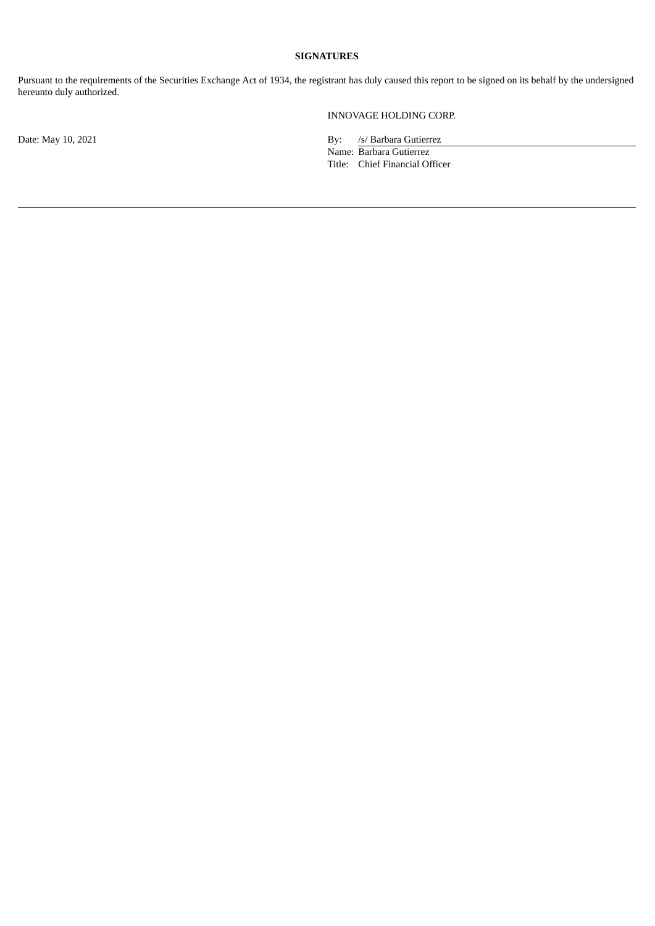# **SIGNATURES**

Pursuant to the requirements of the Securities Exchange Act of 1934, the registrant has duly caused this report to be signed on its behalf by the undersigned hereunto duly authorized.

INNOVAGE HOLDING CORP.

Date: May 10, 2021 By: /s/ Barbara Gutierrez

Name: Barbara Gutierrez Title: Chief Financial Officer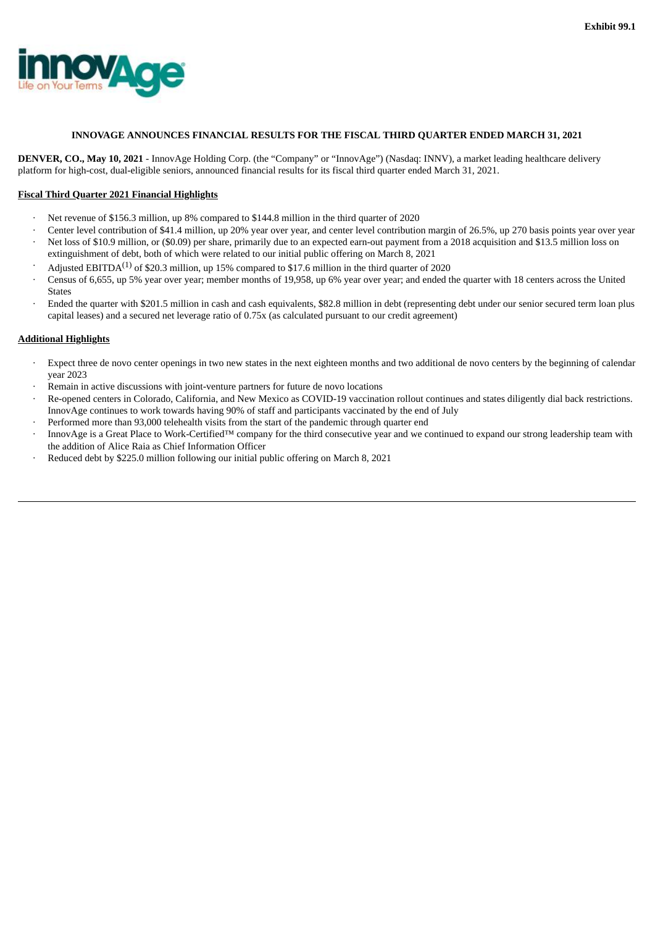<span id="page-3-0"></span>

#### **INNOVAGE ANNOUNCES FINANCIAL RESULTS FOR THE FISCAL THIRD QUARTER ENDED MARCH 31, 2021**

**DENVER, CO., May 10, 2021** - InnovAge Holding Corp. (the "Company" or "InnovAge") (Nasdaq: INNV), a market leading healthcare delivery platform for high-cost, dual-eligible seniors, announced financial results for its fiscal third quarter ended March 31, 2021.

#### **Fiscal Third Quarter 2021 Financial Highlights**

- · Net revenue of \$156.3 million, up 8% compared to \$144.8 million in the third quarter of 2020
- Center level contribution of \$41.4 million, up 20% year over year, and center level contribution margin of 26.5%, up 270 basis points year over year
- Net loss of \$10.9 million, or (\$0.09) per share, primarily due to an expected earn-out payment from a 2018 acquisition and \$13.5 million loss on extinguishment of debt, both of which were related to our initial public offering on March 8, 2021
- $\cdot$  Adjusted EBITDA<sup>(1)</sup> of \$20.3 million, up 15% compared to \$17.6 million in the third quarter of 2020
- · Census of 6,655, up 5% year over year; member months of 19,958, up 6% year over year; and ended the quarter with 18 centers across the United States
- · Ended the quarter with \$201.5 million in cash and cash equivalents, \$82.8 million in debt (representing debt under our senior secured term loan plus capital leases) and a secured net leverage ratio of 0.75x (as calculated pursuant to our credit agreement)

#### **Additional Highlights**

- Expect three de novo center openings in two new states in the next eighteen months and two additional de novo centers by the beginning of calendar year 2023
- Remain in active discussions with joint-venture partners for future de novo locations
- · Re-opened centers in Colorado, California, and New Mexico as COVID-19 vaccination rollout continues and states diligently dial back restrictions. InnovAge continues to work towards having 90% of staff and participants vaccinated by the end of July
- Performed more than 93,000 telehealth visits from the start of the pandemic through quarter end
- · InnovAge is a Great Place to Work-Certified™ company for the third consecutive year and we continued to expand our strong leadership team with the addition of Alice Raia as Chief Information Officer
- Reduced debt by \$225.0 million following our initial public offering on March 8, 2021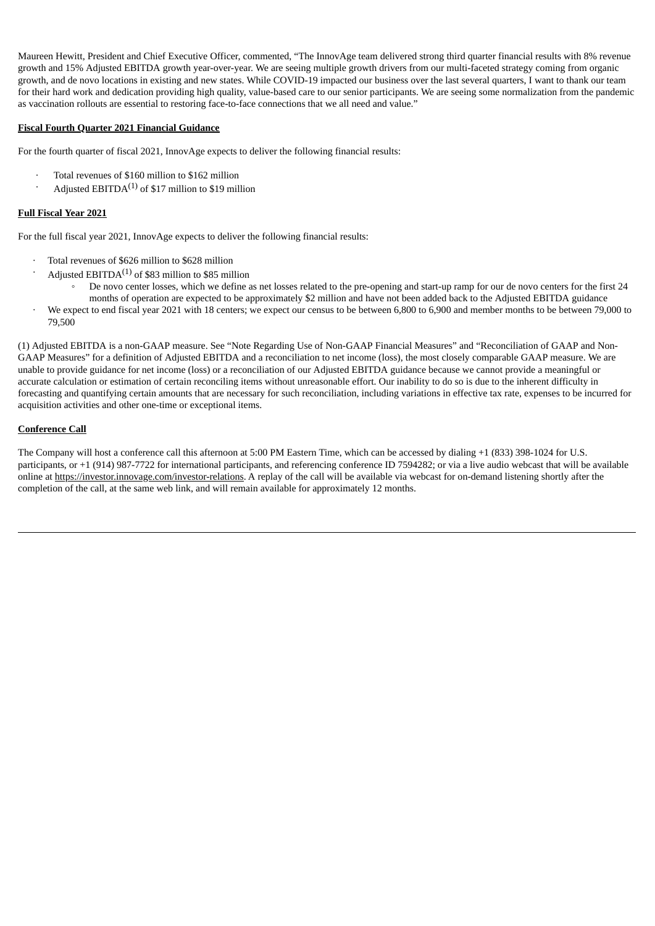Maureen Hewitt, President and Chief Executive Officer, commented, "The InnovAge team delivered strong third quarter financial results with 8% revenue growth and 15% Adjusted EBITDA growth year-over-year. We are seeing multiple growth drivers from our multi-faceted strategy coming from organic growth, and de novo locations in existing and new states. While COVID-19 impacted our business over the last several quarters, I want to thank our team for their hard work and dedication providing high quality, value-based care to our senior participants. We are seeing some normalization from the pandemic as vaccination rollouts are essential to restoring face-to-face connections that we all need and value."

# **Fiscal Fourth Quarter 2021 Financial Guidance**

For the fourth quarter of fiscal 2021, InnovAge expects to deliver the following financial results:

- · Total revenues of \$160 million to \$162 million
- $\cdot$  Adjusted EBITDA<sup>(1)</sup> of \$17 million to \$19 million

# **Full Fiscal Year 2021**

For the full fiscal year 2021, InnovAge expects to deliver the following financial results:

- Total revenues of \$626 million to \$628 million
- Adjusted EBITDA<sup>(1)</sup> of \$83 million to \$85 million
	- De novo center losses, which we define as net losses related to the pre-opening and start-up ramp for our de novo centers for the first 24 months of operation are expected to be approximately \$2 million and have not been added back to the Adjusted EBITDA guidance
- · We expect to end fiscal year 2021 with 18 centers; we expect our census to be between 6,800 to 6,900 and member months to be between 79,000 to 79,500

(1) Adjusted EBITDA is a non-GAAP measure. See "Note Regarding Use of Non-GAAP Financial Measures" and "Reconciliation of GAAP and Non-GAAP Measures" for a definition of Adjusted EBITDA and a reconciliation to net income (loss), the most closely comparable GAAP measure. We are unable to provide guidance for net income (loss) or a reconciliation of our Adjusted EBITDA guidance because we cannot provide a meaningful or accurate calculation or estimation of certain reconciling items without unreasonable effort. Our inability to do so is due to the inherent difficulty in forecasting and quantifying certain amounts that are necessary for such reconciliation, including variations in effective tax rate, expenses to be incurred for acquisition activities and other one-time or exceptional items.

# **Conference Call**

The Company will host a conference call this afternoon at 5:00 PM Eastern Time, which can be accessed by dialing +1 (833) 398-1024 for U.S. participants, or +1 (914) 987-7722 for international participants, and referencing conference ID 7594282; or via a live audio webcast that will be available online at https://investor.innovage.com/investor-relations. A replay of the call will be available via webcast for on-demand listening shortly after the completion of the call, at the same web link, and will remain available for approximately 12 months.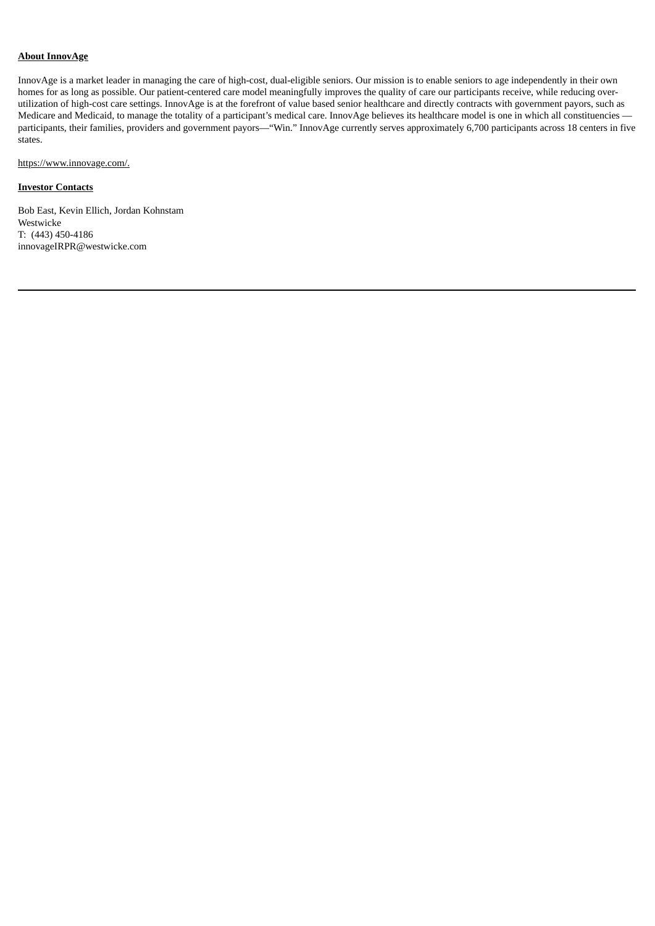# **About InnovAge**

InnovAge is a market leader in managing the care of high-cost, dual-eligible seniors. Our mission is to enable seniors to age independently in their own homes for as long as possible. Our patient-centered care model meaningfully improves the quality of care our participants receive, while reducing overutilization of high-cost care settings. InnovAge is at the forefront of value based senior healthcare and directly contracts with government payors, such as Medicare and Medicaid, to manage the totality of a participant's medical care. InnovAge believes its healthcare model is one in which all constituencies participants, their families, providers and government payors—"Win." InnovAge currently serves approximately 6,700 participants across 18 centers in five states.

https://www.innovage.com/.

### **Investor Contacts**

Bob East, Kevin Ellich, Jordan Kohnstam Westwicke T: (443) 450-4186 innovageIRPR@westwicke.com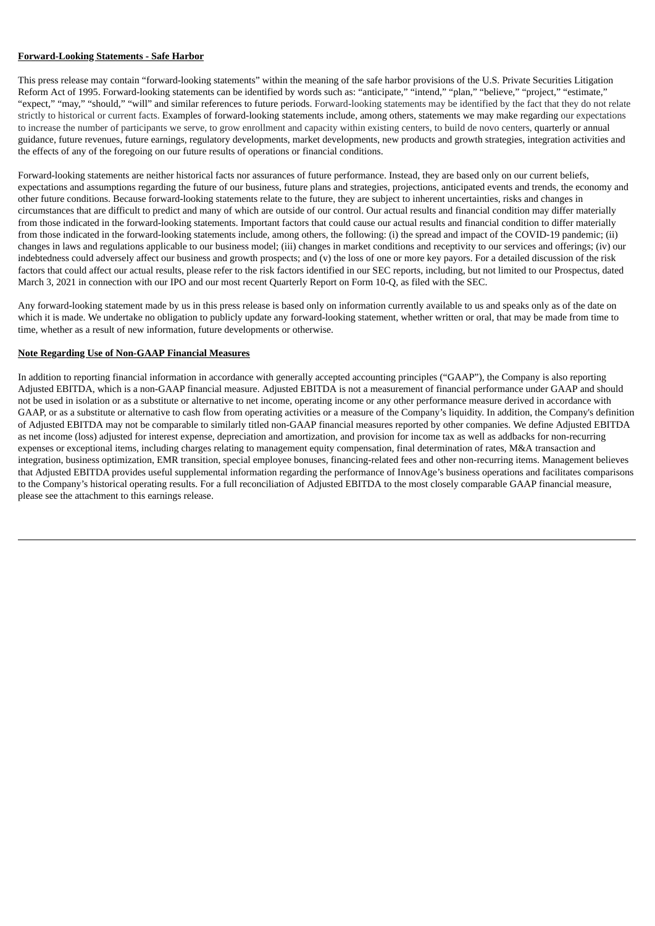#### **Forward-Looking Statements - Safe Harbor**

This press release may contain "forward-looking statements" within the meaning of the safe harbor provisions of the U.S. Private Securities Litigation Reform Act of 1995. Forward-looking statements can be identified by words such as: "anticipate," "intend," "plan," "believe," "project," "estimate," "expect," "may," "should," "will" and similar references to future periods. Forward-looking statements may be identified by the fact that they do not relate strictly to historical or current facts. Examples of forward-looking statements include, among others, statements we may make regarding our expectations to increase the number of participants we serve, to grow enrollment and capacity within existing centers, to build de novo centers, quarterly or annual guidance, future revenues, future earnings, regulatory developments, market developments, new products and growth strategies, integration activities and the effects of any of the foregoing on our future results of operations or financial conditions.

Forward-looking statements are neither historical facts nor assurances of future performance. Instead, they are based only on our current beliefs, expectations and assumptions regarding the future of our business, future plans and strategies, projections, anticipated events and trends, the economy and other future conditions. Because forward-looking statements relate to the future, they are subject to inherent uncertainties, risks and changes in circumstances that are difficult to predict and many of which are outside of our control. Our actual results and financial condition may differ materially from those indicated in the forward-looking statements. Important factors that could cause our actual results and financial condition to differ materially from those indicated in the forward-looking statements include, among others, the following: (i) the spread and impact of the COVID-19 pandemic; (ii) changes in laws and regulations applicable to our business model; (iii) changes in market conditions and receptivity to our services and offerings; (iv) our indebtedness could adversely affect our business and growth prospects; and (v) the loss of one or more key payors. For a detailed discussion of the risk factors that could affect our actual results, please refer to the risk factors identified in our SEC reports, including, but not limited to our Prospectus, dated March 3, 2021 in connection with our IPO and our most recent Quarterly Report on Form 10-Q, as filed with the SEC.

Any forward-looking statement made by us in this press release is based only on information currently available to us and speaks only as of the date on which it is made. We undertake no obligation to publicly update any forward-looking statement, whether written or oral, that may be made from time to time, whether as a result of new information, future developments or otherwise.

#### **Note Regarding Use of Non-GAAP Financial Measures**

In addition to reporting financial information in accordance with generally accepted accounting principles ("GAAP"), the Company is also reporting Adjusted EBITDA, which is a non-GAAP financial measure. Adjusted EBITDA is not a measurement of financial performance under GAAP and should not be used in isolation or as a substitute or alternative to net income, operating income or any other performance measure derived in accordance with GAAP, or as a substitute or alternative to cash flow from operating activities or a measure of the Company's liquidity. In addition, the Company's definition of Adjusted EBITDA may not be comparable to similarly titled non-GAAP financial measures reported by other companies. We define Adjusted EBITDA as net income (loss) adjusted for interest expense, depreciation and amortization, and provision for income tax as well as addbacks for non-recurring expenses or exceptional items, including charges relating to management equity compensation, final determination of rates, M&A transaction and integration, business optimization, EMR transition, special employee bonuses, financing-related fees and other non-recurring items. Management believes that Adjusted EBITDA provides useful supplemental information regarding the performance of InnovAge's business operations and facilitates comparisons to the Company's historical operating results. For a full reconciliation of Adjusted EBITDA to the most closely comparable GAAP financial measure, please see the attachment to this earnings release.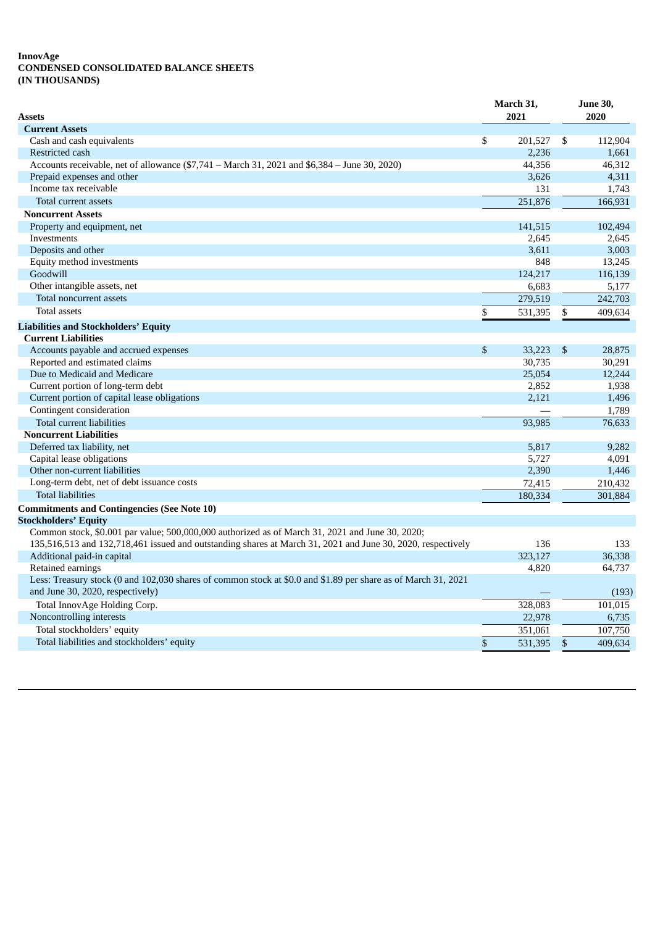#### **InnovAge CONDENSED CONSOLIDATED BALANCE SHEETS (IN THOUSANDS)**

| Assets                                                                                                                                            |                | March 31,<br>2021 |     | <b>June 30,</b><br>2020 |  |
|---------------------------------------------------------------------------------------------------------------------------------------------------|----------------|-------------------|-----|-------------------------|--|
| <b>Current Assets</b>                                                                                                                             |                |                   |     |                         |  |
| Cash and cash equivalents                                                                                                                         | \$             | 201,527           | -\$ | 112,904                 |  |
| Restricted cash                                                                                                                                   |                | 2,236             |     | 1,661                   |  |
| Accounts receivable, net of allowance (\$7,741 - March 31, 2021 and \$6,384 - June 30, 2020)                                                      |                | 44,356            |     | 46,312                  |  |
| Prepaid expenses and other                                                                                                                        |                | 3,626             |     | 4,311                   |  |
| Income tax receivable                                                                                                                             |                | 131               |     | 1,743                   |  |
| Total current assets                                                                                                                              |                | 251,876           |     | 166,931                 |  |
| <b>Noncurrent Assets</b>                                                                                                                          |                |                   |     |                         |  |
| Property and equipment, net                                                                                                                       |                | 141,515           |     | 102,494                 |  |
| Investments                                                                                                                                       |                | 2,645             |     | 2,645                   |  |
| Deposits and other                                                                                                                                |                | 3,611             |     | 3,003                   |  |
| Equity method investments                                                                                                                         |                | 848               |     | 13,245                  |  |
| Goodwill                                                                                                                                          |                | 124,217           |     | 116,139                 |  |
| Other intangible assets, net                                                                                                                      |                | 6,683             |     | 5,177                   |  |
| Total noncurrent assets                                                                                                                           |                | 279,519           |     | 242,703                 |  |
| <b>Total assets</b>                                                                                                                               | \$             | 531,395           | \$  | 409,634                 |  |
| <b>Liabilities and Stockholders' Equity</b>                                                                                                       |                |                   |     |                         |  |
| <b>Current Liabilities</b>                                                                                                                        |                |                   |     |                         |  |
| Accounts payable and accrued expenses                                                                                                             | $\mathfrak{s}$ | 33,223            | \$  | 28,875                  |  |
| Reported and estimated claims                                                                                                                     |                | 30,735            |     | 30,291                  |  |
| Due to Medicaid and Medicare                                                                                                                      |                | 25,054            |     | 12,244                  |  |
| Current portion of long-term debt                                                                                                                 |                | 2,852             |     | 1,938                   |  |
| Current portion of capital lease obligations                                                                                                      |                | 2,121             |     | 1,496                   |  |
| Contingent consideration                                                                                                                          |                |                   |     | 1,789                   |  |
| Total current liabilities                                                                                                                         |                | 93,985            |     | 76,633                  |  |
| <b>Noncurrent Liabilities</b>                                                                                                                     |                |                   |     |                         |  |
| Deferred tax liability, net                                                                                                                       |                | 5,817             |     | 9,282                   |  |
| Capital lease obligations                                                                                                                         |                | 5,727             |     | 4,091                   |  |
| Other non-current liabilities                                                                                                                     |                | 2,390             |     | 1,446                   |  |
| Long-term debt, net of debt issuance costs                                                                                                        |                | 72.415            |     | 210,432                 |  |
| <b>Total liabilities</b>                                                                                                                          |                | 180,334           |     | 301,884                 |  |
| <b>Commitments and Contingencies (See Note 10)</b>                                                                                                |                |                   |     |                         |  |
| <b>Stockholders' Equity</b>                                                                                                                       |                |                   |     |                         |  |
| Common stock, \$0.001 par value; 500,000,000 authorized as of March 31, 2021 and June 30, 2020;                                                   |                |                   |     |                         |  |
| 135,516,513 and 132,718,461 issued and outstanding shares at March 31, 2021 and June 30, 2020, respectively                                       |                | 136               |     | 133                     |  |
| Additional paid-in capital                                                                                                                        |                | 323,127           |     | 36,338                  |  |
| Retained earnings                                                                                                                                 |                | 4,820             |     | 64,737                  |  |
| Less: Treasury stock (0 and 102,030 shares of common stock at \$0.0 and \$1.89 per share as of March 31, 2021<br>and June 30, 2020, respectively) |                |                   |     | (193)                   |  |
| Total InnovAge Holding Corp.                                                                                                                      |                | 328,083           |     | 101,015                 |  |
| Noncontrolling interests                                                                                                                          |                | 22,978            |     | 6,735                   |  |
| Total stockholders' equity                                                                                                                        |                | 351,061           |     | 107,750                 |  |
| Total liabilities and stockholders' equity                                                                                                        | \$             | 531,395           | \$  | 409,634                 |  |
|                                                                                                                                                   |                |                   |     |                         |  |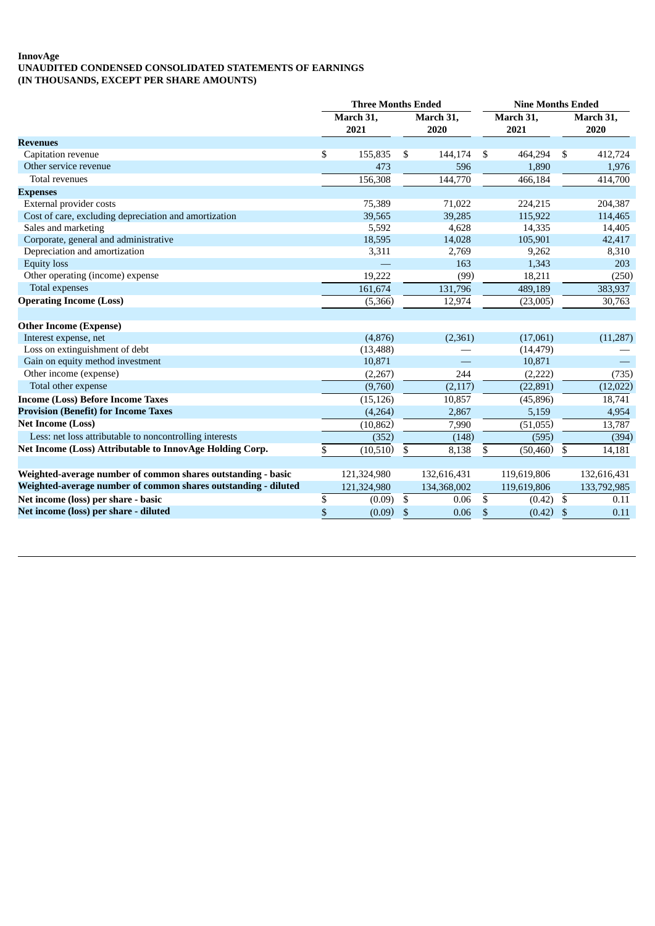## **InnovAge UNAUDITED CONDENSED CONSOLIDATED STATEMENTS OF EARNINGS (IN THOUSANDS, EXCEPT PER SHARE AMOUNTS)**

|                                                                | <b>Three Months Ended</b> |             |           | <b>Nine Months Ended</b> |           |             |           |             |
|----------------------------------------------------------------|---------------------------|-------------|-----------|--------------------------|-----------|-------------|-----------|-------------|
|                                                                | March 31,                 |             | March 31, |                          | March 31, |             | March 31, |             |
|                                                                |                           | 2021        |           | 2020                     |           | 2021        |           | 2020        |
| <b>Revenues</b>                                                |                           |             |           |                          |           |             |           |             |
| Capitation revenue                                             | \$                        | 155,835     | \$        | 144,174                  | \$        | 464,294     | \$        | 412,724     |
| Other service revenue                                          |                           | 473         |           | 596                      |           | 1,890       |           | 1,976       |
| Total revenues                                                 |                           | 156,308     |           | 144,770                  |           | 466,184     |           | 414,700     |
| <b>Expenses</b>                                                |                           |             |           |                          |           |             |           |             |
| External provider costs                                        |                           | 75,389      |           | 71,022                   |           | 224,215     |           | 204,387     |
| Cost of care, excluding depreciation and amortization          |                           | 39,565      |           | 39,285                   |           | 115,922     |           | 114,465     |
| Sales and marketing                                            |                           | 5,592       |           | 4,628                    |           | 14,335      |           | 14,405      |
| Corporate, general and administrative                          |                           | 18,595      |           | 14,028                   |           | 105,901     |           | 42,417      |
| Depreciation and amortization                                  |                           | 3,311       |           | 2,769                    |           | 9,262       |           | 8,310       |
| <b>Equity loss</b>                                             |                           |             |           | 163                      |           | 1,343       |           | 203         |
| Other operating (income) expense                               |                           | 19,222      |           | (99)                     |           | 18,211      |           | (250)       |
| Total expenses                                                 |                           | 161,674     |           | 131,796                  |           | 489,189     |           | 383,937     |
| <b>Operating Income (Loss)</b>                                 |                           | (5,366)     |           | 12,974                   |           | (23,005)    |           | 30,763      |
|                                                                |                           |             |           |                          |           |             |           |             |
| <b>Other Income (Expense)</b>                                  |                           |             |           |                          |           |             |           |             |
| Interest expense, net                                          |                           | (4,876)     |           | (2,361)                  |           | (17,061)    |           | (11,287)    |
| Loss on extinguishment of debt                                 |                           | (13, 488)   |           |                          |           | (14, 479)   |           |             |
| Gain on equity method investment                               |                           | 10,871      |           |                          |           | 10,871      |           |             |
| Other income (expense)                                         |                           | (2, 267)    |           | 244                      |           | (2,222)     |           | (735)       |
| Total other expense                                            |                           | (9,760)     |           | (2,117)                  |           | (22, 891)   |           | (12, 022)   |
| <b>Income (Loss) Before Income Taxes</b>                       |                           | (15, 126)   |           | 10,857                   |           | (45,896)    |           | 18,741      |
| <b>Provision (Benefit) for Income Taxes</b>                    |                           | (4,264)     |           | 2,867                    |           | 5,159       |           | 4,954       |
| <b>Net Income (Loss)</b>                                       |                           | (10, 862)   |           | 7,990                    |           | (51,055)    |           | 13,787      |
| Less: net loss attributable to noncontrolling interests        |                           | (352)       |           | (148)                    |           | (595)       |           | (394)       |
| Net Income (Loss) Attributable to InnovAge Holding Corp.       | \$                        | (10,510)    | \$        | 8,138                    | \$        | (50, 460)   | \$        | 14,181      |
|                                                                |                           |             |           |                          |           |             |           |             |
| Weighted-average number of common shares outstanding - basic   |                           | 121,324,980 |           | 132,616,431              |           | 119,619,806 |           | 132,616,431 |
| Weighted-average number of common shares outstanding - diluted |                           | 121,324,980 |           | 134,368,002              |           | 119,619,806 |           | 133,792,985 |
| Net income (loss) per share - basic                            | \$                        | (0.09)      | \$        | 0.06                     | S         | (0.42)      | \$        | 0.11        |
| Net income (loss) per share - diluted                          | \$                        | (0.09)      | \$        | 0.06                     | \$        | (0.42)      | \$        | 0.11        |
|                                                                |                           |             |           |                          |           |             |           |             |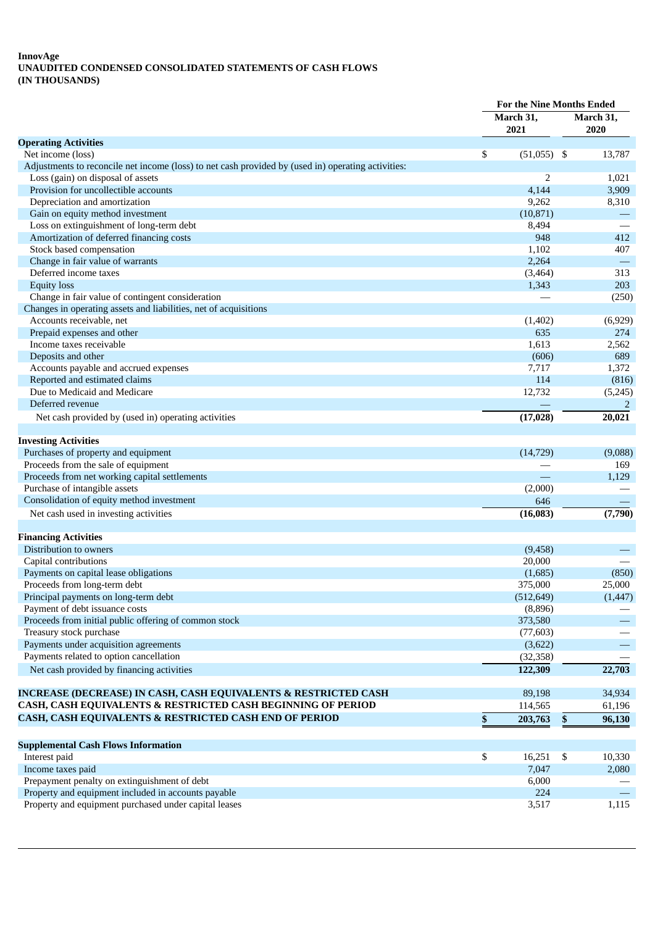#### **InnovAge UNAUDITED CONDENSED CONSOLIDATED STATEMENTS OF CASH FLOWS (IN THOUSANDS)**

|                                                                                                    | <b>For the Nine Months Ended</b> |            |                           |           |  |  |
|----------------------------------------------------------------------------------------------------|----------------------------------|------------|---------------------------|-----------|--|--|
|                                                                                                    | March 31,                        |            |                           | March 31, |  |  |
|                                                                                                    |                                  | 2021       |                           | 2020      |  |  |
| <b>Operating Activities</b>                                                                        |                                  |            |                           |           |  |  |
| Net income (loss)                                                                                  | \$                               | (51,055)   | -\$                       | 13,787    |  |  |
| Adjustments to reconcile net income (loss) to net cash provided by (used in) operating activities: |                                  |            |                           |           |  |  |
| Loss (gain) on disposal of assets                                                                  |                                  | 2          |                           | 1,021     |  |  |
| Provision for uncollectible accounts                                                               |                                  | 4,144      |                           | 3,909     |  |  |
| Depreciation and amortization                                                                      |                                  | 9,262      |                           | 8,310     |  |  |
| Gain on equity method investment                                                                   |                                  | (10, 871)  |                           |           |  |  |
| Loss on extinguishment of long-term debt                                                           |                                  | 8,494      |                           |           |  |  |
| Amortization of deferred financing costs                                                           |                                  | 948        |                           | 412       |  |  |
| Stock based compensation                                                                           |                                  | 1,102      |                           | 407       |  |  |
| Change in fair value of warrants                                                                   |                                  | 2,264      |                           |           |  |  |
| Deferred income taxes                                                                              |                                  | (3, 464)   |                           | 313       |  |  |
| <b>Equity</b> loss                                                                                 |                                  | 1,343      |                           | 203       |  |  |
| Change in fair value of contingent consideration                                                   |                                  |            |                           | (250)     |  |  |
| Changes in operating assets and liabilities, net of acquisitions                                   |                                  |            |                           |           |  |  |
| Accounts receivable, net                                                                           |                                  | (1,402)    |                           | (6,929)   |  |  |
| Prepaid expenses and other                                                                         |                                  | 635        |                           | 274       |  |  |
| Income taxes receivable                                                                            |                                  | 1,613      |                           | 2,562     |  |  |
| Deposits and other                                                                                 |                                  | (606)      |                           | 689       |  |  |
| Accounts payable and accrued expenses                                                              |                                  | 7,717      |                           | 1,372     |  |  |
| Reported and estimated claims                                                                      |                                  | 114        |                           | (816)     |  |  |
| Due to Medicaid and Medicare                                                                       |                                  | 12,732     |                           | (5,245)   |  |  |
| Deferred revenue                                                                                   |                                  |            |                           | 2         |  |  |
|                                                                                                    |                                  |            |                           |           |  |  |
| Net cash provided by (used in) operating activities                                                |                                  | (17, 028)  |                           | 20,021    |  |  |
| <b>Investing Activities</b>                                                                        |                                  |            |                           |           |  |  |
| Purchases of property and equipment                                                                |                                  | (14, 729)  |                           | (9,088)   |  |  |
| Proceeds from the sale of equipment                                                                |                                  |            |                           | 169       |  |  |
| Proceeds from net working capital settlements                                                      |                                  |            |                           | 1,129     |  |  |
| Purchase of intangible assets                                                                      |                                  | (2,000)    |                           |           |  |  |
| Consolidation of equity method investment                                                          |                                  | 646        |                           |           |  |  |
| Net cash used in investing activities                                                              |                                  | (16, 083)  |                           | (7,790)   |  |  |
|                                                                                                    |                                  |            |                           |           |  |  |
| <b>Financing Activities</b>                                                                        |                                  |            |                           |           |  |  |
| Distribution to owners                                                                             |                                  | (9,458)    |                           |           |  |  |
| Capital contributions                                                                              |                                  | 20,000     |                           |           |  |  |
| Payments on capital lease obligations                                                              |                                  | (1,685)    |                           | (850)     |  |  |
| Proceeds from long-term debt                                                                       |                                  | 375,000    |                           | 25,000    |  |  |
| Principal payments on long-term debt                                                               |                                  | (512, 649) |                           | (1, 447)  |  |  |
| Payment of debt issuance costs                                                                     |                                  | (8,896)    |                           |           |  |  |
| Proceeds from initial public offering of common stock                                              |                                  | 373,580    |                           |           |  |  |
| Treasury stock purchase                                                                            |                                  | (77, 603)  |                           |           |  |  |
| Payments under acquisition agreements                                                              |                                  | (3,622)    |                           |           |  |  |
| Payments related to option cancellation                                                            |                                  | (32, 358)  |                           |           |  |  |
| Net cash provided by financing activities                                                          |                                  | 122,309    |                           | 22,703    |  |  |
|                                                                                                    |                                  |            |                           |           |  |  |
| INCREASE (DECREASE) IN CASH, CASH EQUIVALENTS & RESTRICTED CASH                                    |                                  | 89,198     |                           | 34,934    |  |  |
| CASH, CASH EQUIVALENTS & RESTRICTED CASH BEGINNING OF PERIOD                                       |                                  | 114,565    |                           | 61,196    |  |  |
| CASH, CASH EQUIVALENTS & RESTRICTED CASH END OF PERIOD                                             | \$                               | 203,763    | $\boldsymbol{\mathsf{s}}$ | 96,130    |  |  |
| <b>Supplemental Cash Flows Information</b>                                                         |                                  |            |                           |           |  |  |
| Interest paid                                                                                      | \$                               | 16,251     | \$                        | 10,330    |  |  |
| Income taxes paid                                                                                  |                                  | 7,047      |                           | 2,080     |  |  |
| Prepayment penalty on extinguishment of debt                                                       |                                  | 6,000      |                           |           |  |  |
| Property and equipment included in accounts payable                                                |                                  | 224        |                           |           |  |  |
| Property and equipment purchased under capital leases                                              |                                  | 3,517      |                           | 1,115     |  |  |
|                                                                                                    |                                  |            |                           |           |  |  |